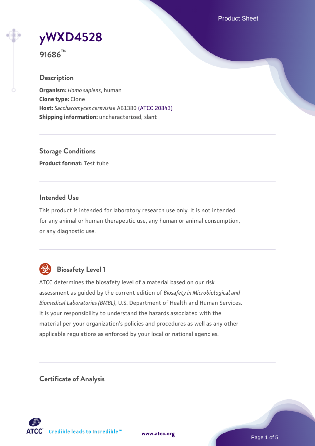Product Sheet



**91686™**

## **Description**

**Organism:** *Homo sapiens*, human **Clone type:** Clone **Host:** *Saccharomyces cerevisiae* AB1380 [\(ATCC 20843\)](https://www.atcc.org/products/20843) **Shipping information:** uncharacterized, slant

**Storage Conditions Product format:** Test tube

## **Intended Use**

This product is intended for laboratory research use only. It is not intended for any animal or human therapeutic use, any human or animal consumption, or any diagnostic use.



# **Biosafety Level 1**

ATCC determines the biosafety level of a material based on our risk assessment as guided by the current edition of *Biosafety in Microbiological and Biomedical Laboratories (BMBL)*, U.S. Department of Health and Human Services. It is your responsibility to understand the hazards associated with the material per your organization's policies and procedures as well as any other applicable regulations as enforced by your local or national agencies.

**Certificate of Analysis**

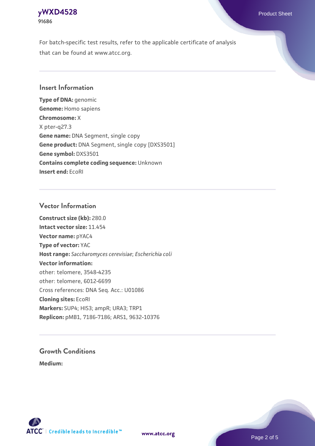# **[yWXD4528](https://www.atcc.org/products/91686)** Product Sheet **91686**

For batch-specific test results, refer to the applicable certificate of analysis that can be found at www.atcc.org.

## **Insert Information**

**Type of DNA:** genomic **Genome:** Homo sapiens **Chromosome:** X X pter-q27.3 **Gene name:** DNA Segment, single copy **Gene product:** DNA Segment, single copy [DXS3501] **Gene symbol:** DXS3501 **Contains complete coding sequence:** Unknown **Insert end:** EcoRI

## **Vector Information**

**Construct size (kb):** 280.0 **Intact vector size:** 11.454 **Vector name:** pYAC4 **Type of vector:** YAC **Host range:** *Saccharomyces cerevisiae*; *Escherichia coli* **Vector information:** other: telomere, 3548-4235 other: telomere, 6012-6699 Cross references: DNA Seq. Acc.: U01086 **Cloning sites:** EcoRI **Markers:** SUP4; HIS3; ampR; URA3; TRP1 **Replicon:** pMB1, 7186-7186; ARS1, 9632-10376

# **Growth Conditions**

**Medium:** 



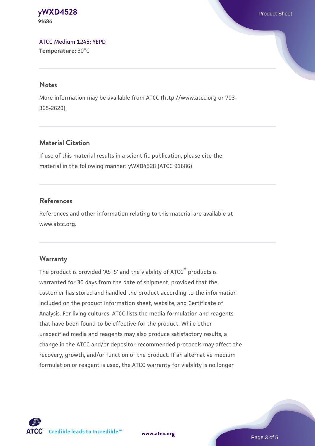#### **[yWXD4528](https://www.atcc.org/products/91686)** Product Sheet **91686**

[ATCC Medium 1245: YEPD](https://www.atcc.org/-/media/product-assets/documents/microbial-media-formulations/1/2/4/5/atcc-medium-1245.pdf?rev=705ca55d1b6f490a808a965d5c072196) **Temperature:** 30°C

#### **Notes**

More information may be available from ATCC (http://www.atcc.org or 703- 365-2620).

# **Material Citation**

If use of this material results in a scientific publication, please cite the material in the following manner: yWXD4528 (ATCC 91686)

# **References**

References and other information relating to this material are available at www.atcc.org.

## **Warranty**

The product is provided 'AS IS' and the viability of ATCC® products is warranted for 30 days from the date of shipment, provided that the customer has stored and handled the product according to the information included on the product information sheet, website, and Certificate of Analysis. For living cultures, ATCC lists the media formulation and reagents that have been found to be effective for the product. While other unspecified media and reagents may also produce satisfactory results, a change in the ATCC and/or depositor-recommended protocols may affect the recovery, growth, and/or function of the product. If an alternative medium formulation or reagent is used, the ATCC warranty for viability is no longer



**[www.atcc.org](http://www.atcc.org)**

Page 3 of 5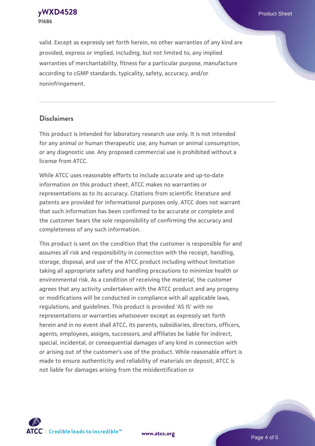**[yWXD4528](https://www.atcc.org/products/91686)** Product Sheet **91686**

valid. Except as expressly set forth herein, no other warranties of any kind are provided, express or implied, including, but not limited to, any implied warranties of merchantability, fitness for a particular purpose, manufacture according to cGMP standards, typicality, safety, accuracy, and/or noninfringement.

#### **Disclaimers**

This product is intended for laboratory research use only. It is not intended for any animal or human therapeutic use, any human or animal consumption, or any diagnostic use. Any proposed commercial use is prohibited without a license from ATCC.

While ATCC uses reasonable efforts to include accurate and up-to-date information on this product sheet, ATCC makes no warranties or representations as to its accuracy. Citations from scientific literature and patents are provided for informational purposes only. ATCC does not warrant that such information has been confirmed to be accurate or complete and the customer bears the sole responsibility of confirming the accuracy and completeness of any such information.

This product is sent on the condition that the customer is responsible for and assumes all risk and responsibility in connection with the receipt, handling, storage, disposal, and use of the ATCC product including without limitation taking all appropriate safety and handling precautions to minimize health or environmental risk. As a condition of receiving the material, the customer agrees that any activity undertaken with the ATCC product and any progeny or modifications will be conducted in compliance with all applicable laws, regulations, and guidelines. This product is provided 'AS IS' with no representations or warranties whatsoever except as expressly set forth herein and in no event shall ATCC, its parents, subsidiaries, directors, officers, agents, employees, assigns, successors, and affiliates be liable for indirect, special, incidental, or consequential damages of any kind in connection with or arising out of the customer's use of the product. While reasonable effort is made to ensure authenticity and reliability of materials on deposit, ATCC is not liable for damages arising from the misidentification or



**[www.atcc.org](http://www.atcc.org)**

Page 4 of 5